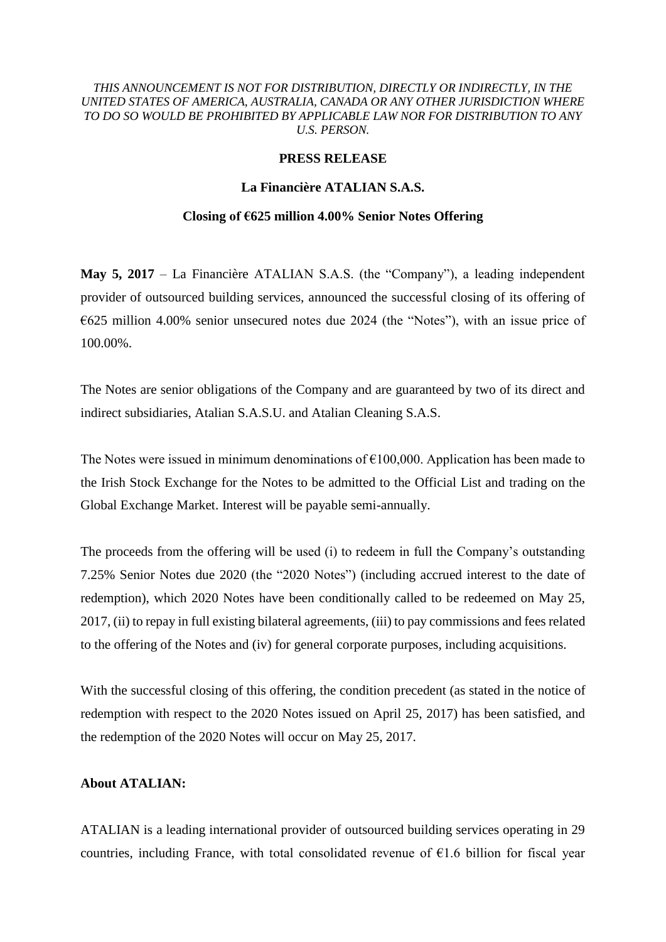### *THIS ANNOUNCEMENT IS NOT FOR DISTRIBUTION, DIRECTLY OR INDIRECTLY, IN THE UNITED STATES OF AMERICA, AUSTRALIA, CANADA OR ANY OTHER JURISDICTION WHERE TO DO SO WOULD BE PROHIBITED BY APPLICABLE LAW NOR FOR DISTRIBUTION TO ANY U.S. PERSON.*

### **PRESS RELEASE**

# **La Financière ATALIAN S.A.S.**

#### **Closing of €625 million 4.00% Senior Notes Offering**

**May 5, 2017** – La Financière ATALIAN S.A.S. (the "Company"), a leading independent provider of outsourced building services, announced the successful closing of its offering of €625 million 4.00% senior unsecured notes due 2024 (the "Notes"), with an issue price of 100.00%.

The Notes are senior obligations of the Company and are guaranteed by two of its direct and indirect subsidiaries, Atalian S.A.S.U. and Atalian Cleaning S.A.S.

The Notes were issued in minimum denominations of  $\epsilon$ 100,000. Application has been made to the Irish Stock Exchange for the Notes to be admitted to the Official List and trading on the Global Exchange Market. Interest will be payable semi-annually.

The proceeds from the offering will be used (i) to redeem in full the Company's outstanding 7.25% Senior Notes due 2020 (the "2020 Notes") (including accrued interest to the date of redemption), which 2020 Notes have been conditionally called to be redeemed on May 25, 2017, (ii) to repay in full existing bilateral agreements, (iii) to pay commissions and fees related to the offering of the Notes and (iv) for general corporate purposes, including acquisitions.

With the successful closing of this offering, the condition precedent (as stated in the notice of redemption with respect to the 2020 Notes issued on April 25, 2017) has been satisfied, and the redemption of the 2020 Notes will occur on May 25, 2017.

## **About ATALIAN:**

ATALIAN is a leading international provider of outsourced building services operating in 29 countries, including France, with total consolidated revenue of  $E1.6$  billion for fiscal year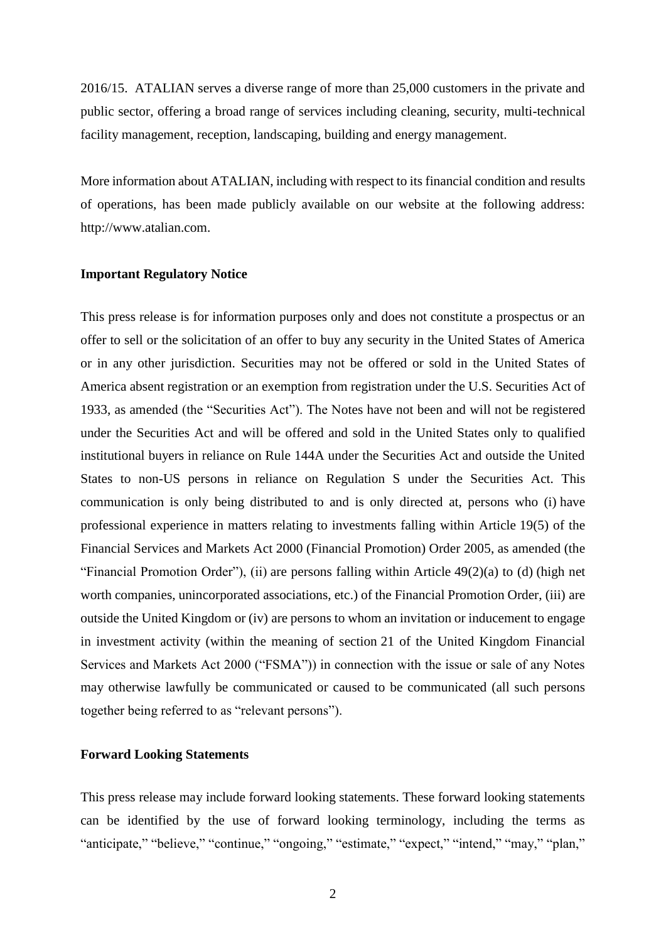2016/15. ATALIAN serves a diverse range of more than 25,000 customers in the private and public sector, offering a broad range of services including cleaning, security, multi-technical facility management, reception, landscaping, building and energy management.

More information about ATALIAN, including with respect to its financial condition and results of operations, has been made publicly available on our website at the following address: http://www.atalian.com.

#### **Important Regulatory Notice**

This press release is for information purposes only and does not constitute a prospectus or an offer to sell or the solicitation of an offer to buy any security in the United States of America or in any other jurisdiction. Securities may not be offered or sold in the United States of America absent registration or an exemption from registration under the U.S. Securities Act of 1933, as amended (the "Securities Act"). The Notes have not been and will not be registered under the Securities Act and will be offered and sold in the United States only to qualified institutional buyers in reliance on Rule 144A under the Securities Act and outside the United States to non-US persons in reliance on Regulation S under the Securities Act. This communication is only being distributed to and is only directed at, persons who (i) have professional experience in matters relating to investments falling within Article 19(5) of the Financial Services and Markets Act 2000 (Financial Promotion) Order 2005, as amended (the "Financial Promotion Order"), (ii) are persons falling within Article  $49(2)(a)$  to (d) (high net worth companies, unincorporated associations, etc.) of the Financial Promotion Order, (iii) are outside the United Kingdom or (iv) are persons to whom an invitation or inducement to engage in investment activity (within the meaning of section 21 of the United Kingdom Financial Services and Markets Act 2000 ("FSMA")) in connection with the issue or sale of any Notes may otherwise lawfully be communicated or caused to be communicated (all such persons together being referred to as "relevant persons").

#### **Forward Looking Statements**

This press release may include forward looking statements. These forward looking statements can be identified by the use of forward looking terminology, including the terms as "anticipate," "believe," "continue," "ongoing," "estimate," "expect," "intend," "may," "plan,"